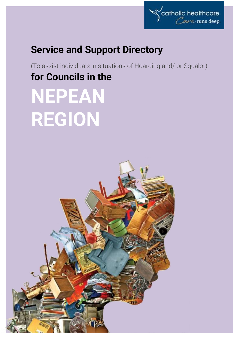

# **Service and Support Directory**

(To assist individuals in situations of Hoarding and/ or Squalor) **for Councils in the**

# **NEPEAN REGION**

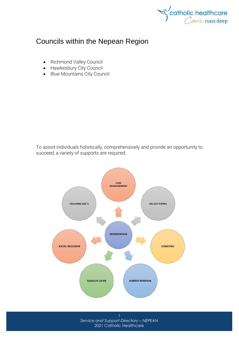

## Councils within the Nepean Region

- [Richmond Valley Council](http://www.richmondvalley.nsw.gov.au/)
- [Hawkesbury City Council](http://www.hawkesbury.nsw.gov.au/)
- [Blue Mountains City Council](http://www.bmcc.nsw.gov.au/)

To assist individuals holistically, comprehensively and provide an opportunity to succeed, a variety of supports are required.

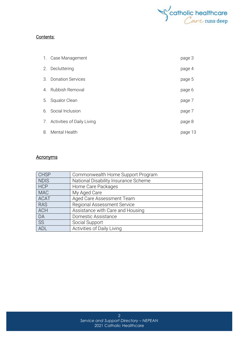

#### Contents:

|                             | 1. Case Management            | page 3  |
|-----------------------------|-------------------------------|---------|
| 2.                          | Decluttering                  | page 4  |
| $\mathcal{B}_{\mathcal{A}}$ | <b>Donation Services</b>      | page 5  |
| 4 <sub>1</sub>              | Rubbish Removal               | page 6  |
| 5.                          | Squalor Clean                 | page 7  |
|                             | 6. Social Inclusion           | page 7  |
|                             | 7. Activities of Daily Living | page 8  |
| 8.                          | Mental Health                 | page 13 |

#### **Acronyms**

| <b>CHSP</b> | Commonwealth Home Support Program    |  |
|-------------|--------------------------------------|--|
| <b>NDIS</b> | National Disability Insurance Scheme |  |
| <b>HCP</b>  | Home Care Packages                   |  |
| <b>MAC</b>  | My Aged Care                         |  |
| <b>ACAT</b> | Aged Care Assessment Team            |  |
| <b>RAS</b>  | <b>Regional Assessment Service</b>   |  |
| <b>ACH</b>  | Assistance with Care and Housing     |  |
| DA          | Domestic Assistance                  |  |
| <b>SS</b>   | Social Support                       |  |
| <b>ADL</b>  | Activities of Daily Living           |  |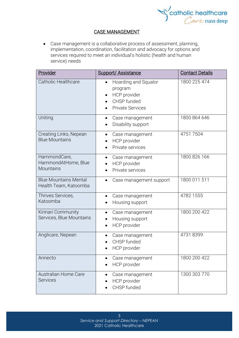

#### CASE MANAGEMENT

• Case management is a collaborative process of assessment, planning, implementation, coordination, facilitation and advocacy for options and services required to meet an individual's holistic (health and human service) needs

| Provider                                                | <b>Support/Assistance</b>                                                                 | <b>Contact Details</b> |
|---------------------------------------------------------|-------------------------------------------------------------------------------------------|------------------------|
| <b>Catholic Healthcare</b>                              | Hoarding and Squalor<br>program<br>HCP provider<br>CHSP funded<br><b>Private Services</b> | 1800 225 474           |
| Uniting                                                 | Case management<br>$\bullet$<br>Disability support                                        | 1800 864 646           |
| Creating Links, Nepean<br><b>Blue Mountains</b>         | Case management<br>$\bullet$<br>HCP provider<br>Private services                          | 47517504               |
| HammondCare,<br>HammondAtHome, Blue<br><b>Mountains</b> | Case management<br>$\bullet$<br>HCP provider<br>Private services                          | 1800 826 166           |
| <b>Blue Mountains Mental</b><br>Health Team, Katoomba   | Case management support                                                                   | 1800 011 511           |
| Thrives Services,<br>Katoomba                           | Case management<br>Housing support                                                        | 4782 1555              |
| Kirinari Community<br>Services, Blue Mountains          | Case management<br>Housing support<br>HCP provider                                        | 1800 200 422           |
| Anglicare, Nepean                                       | Case management<br>CHSP funded<br><b>HCP</b> provider                                     | 47318399               |
| Annecto                                                 | Case management<br>HCP provider                                                           | 1800 200 422           |
| <b>Australian Home Care</b><br><b>Services</b>          | Case management<br>HCP provider<br>CHSP funded                                            | 1300 303 770           |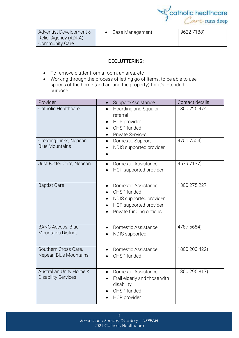

| Adventist Development & | Case Management | 9622 7188) |
|-------------------------|-----------------|------------|
| Relief Agency (ADRA)    |                 |            |
| Community Care          |                 |            |

#### DECLUTTERING:

- To remove clutter from a room, an area, etc
- Working through the process of letting go of items, to be able to use spaces of the home (and around the property) for it's intended purpose

| Provider                                              | Support/Assistance<br>$\bullet$                                                                                                 | Contact details |
|-------------------------------------------------------|---------------------------------------------------------------------------------------------------------------------------------|-----------------|
| <b>Catholic Healthcare</b>                            | Hoarding and Squalor<br>$\bullet$<br>referral<br>HCP provider<br>$\bullet$<br>CHSP funded<br><b>Private Services</b>            | 1800 225 474    |
| Creating Links, Nepean<br><b>Blue Mountains</b>       | Domestic Support<br>$\bullet$<br>NDIS supported provider                                                                        | 4751 7504)      |
| Just Better Care, Nepean                              | Domestic Assistance<br>$\bullet$<br>HCP supported provider                                                                      | 4579 7137)      |
| <b>Baptist Care</b>                                   | Domestic Assistance<br>$\bullet$<br>CHSP funded<br>NDIS supported provider<br>HCP supported provider<br>Private funding options | 1300 275 227    |
| <b>BANC Access, Blue</b><br><b>Mountains District</b> | Domestic Assistance<br>NDIS supported                                                                                           | 4787 5684)      |
| Southern Cross Care,<br>Nepean Blue Mountains         | Domestic Assistance<br>CHSP funded                                                                                              | 1800 200 422)   |
| Australian Unity Home &<br><b>Disability Services</b> | Domestic Assistance<br>$\bullet$<br>Frail elderly and those with<br>disability<br>CHSP funded<br>HCP provider                   | 1300 295 817)   |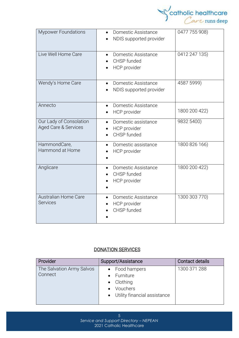

| <b>Mypower Foundations</b>                                 | Domestic Assistance<br>NDIS supported provider                           | 0477 755 908) |
|------------------------------------------------------------|--------------------------------------------------------------------------|---------------|
| Live Well Home Care                                        | Domestic Assistance<br>$\bullet$<br>CHSP funded<br><b>HCP</b> provider   | 0412 247 135) |
| Wendy's Home Care                                          | Domestic Assistance<br>$\bullet$<br>NDIS supported provider<br>$\bullet$ | 4587 5999)    |
| Annecto                                                    | Domestic Assistance<br>HCP provider                                      | 1800 200 422) |
| Our Lady of Consolation<br><b>Aged Care &amp; Services</b> | Domestic assistance<br>HCP provider<br>CHSP funded                       | 9832 5400)    |
| HammondCare,<br>Hammond at Home                            | Domestic assistance<br><b>HCP</b> provider                               | 1800 826 166) |
| Anglicare                                                  | Domestic Assistance<br>CHSP funded<br>HCP provider                       | 1800 200 422) |
| Australian Home Care<br><b>Services</b>                    | Domestic Assistance<br>HCP provider<br>CHSP funded                       | 1300 303 770) |

#### DONATION SERVICES

| Provider                             | Support/Assistance                                               | Contact details |
|--------------------------------------|------------------------------------------------------------------|-----------------|
| The Salvation Army Salvos<br>Connect | • Food hampers<br>Furniture                                      | 1300 371 288    |
|                                      | $\bullet$ Clothing<br>Vouchers<br>• Utility financial assistance |                 |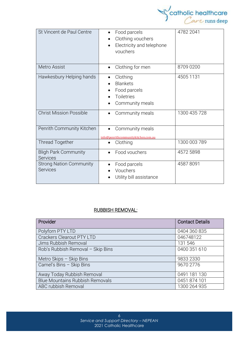

| St Vincent de Paul Centre                         | Food parcels<br>Clothing vouchers<br>Electricity and telephone<br>vouchers          | 4782 2041    |
|---------------------------------------------------|-------------------------------------------------------------------------------------|--------------|
| Metro Assist                                      | Clothing for men                                                                    | 8709 0200    |
| Hawkesbury Helping hands                          | Clothing<br><b>Blankets</b><br>Food parcels<br><b>Toiletries</b><br>Community meals | 4505 1131    |
| <b>Christ Mission Possible</b>                    | Community meals                                                                     | 1300 435 728 |
| Penrith Community Kitchen                         | Community meals<br>info@penrithcommunitykitchen.com.au                              |              |
| <b>Thread Together</b>                            | Clothing                                                                            | 1300 003 789 |
| <b>Bligh Park Community</b><br>Services           | Food vouchers                                                                       | 4572 5898    |
| <b>Strong Nation Community</b><br><b>Services</b> | Food parcels<br>Vouchers<br>Utility bill assistance                                 | 45878091     |

#### RUBBISH REMOVAL:

| Provider                               | <b>Contact Details</b> |
|----------------------------------------|------------------------|
| Polyforn PTY LTD                       | 0404 360 835           |
| <b>Crackers Clearout PTY LTD</b>       | 046748122              |
| Jims Rubbish Removal                   | 131 546                |
| Rob's Rubbish Removal - Skip Bins      | 0400 351 610           |
| Metro Skips - Skip Bins                | 9833 2330              |
| Camel's Bins - Skip Bins               | 9670 2776              |
| Away Today Rubbish Removal             | 0491 181 130           |
| <b>Blue Mountains Rubbish Removals</b> | 0451 874 101           |
| ABC rubbish Removal                    | 1300 264 935           |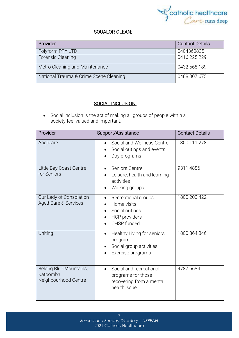

#### SQUALOR CLEAN:

| Provider                               | <b>Contact Details</b> |
|----------------------------------------|------------------------|
| Polyform PTY LTD                       | 0404360835             |
| Forensic Cleaning                      | 0416 225 229           |
| Metro Cleaning and Maintenance         | 0432 568 189           |
| National Trauma & Crime Scene Cleaning | 0488 007 675           |

#### SOCIAL INCLUSION:

• Social [inclusion](https://www.collinsdictionary.com/dictionary/english/inclusion) is the act of making all groups of people within a society [feel](https://www.collinsdictionary.com/dictionary/english/feel) valued and [important.](https://www.collinsdictionary.com/dictionary/english/important)

| Provider                                                   | Support/Assistance                                                                                                    | <b>Contact Details</b> |
|------------------------------------------------------------|-----------------------------------------------------------------------------------------------------------------------|------------------------|
| Anglicare                                                  | Social and Wellness Centre<br>Social outings and events<br>Day programs                                               | 1300 111 278           |
| Little Bay Coast Centre<br>for Seniors                     | Seniors Centre<br>Leisure, health and learning<br>activities<br>Walking groups<br>$\bullet$                           | 9311 4886              |
| Our Lady of Consolation<br>Aged Care & Services            | Recreational groups<br>$\bullet$<br>Home visits<br>Social outings<br><b>HCP</b> providers<br>$\bullet$<br>CHSP funded | 1800 200 422           |
| Uniting                                                    | Healthy Living for seniors'<br>$\bullet$<br>program<br>Social group activities<br>Exercise programs                   | 1800 864 846           |
| Belong Blue Mountains,<br>Katoomba<br>Neighbourhood Centre | Social and recreational<br>programs for those<br>recovering from a mental<br>health issue                             | 4787 5684              |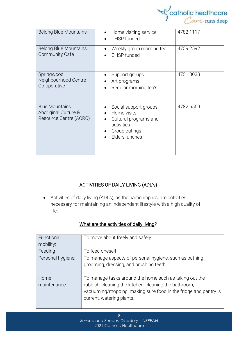

| <b>Belong Blue Mountains</b>                                            | Home visiting service<br>CHSP funded                                                                           | 4782 1117 |
|-------------------------------------------------------------------------|----------------------------------------------------------------------------------------------------------------|-----------|
| Belong Blue Mountains,<br>Community Café                                | Weekly group morning tea<br>CHSP funded                                                                        | 4759 2592 |
| Springwood<br>Neighbourhood Centre<br>Co-operative                      | Support groups<br>Art programs<br>Regular morning tea's                                                        | 4751 3033 |
| <b>Blue Mountains</b><br>Aboriginal Culture &<br>Resource Centre (ACRC) | Social support groups<br>Home visits<br>Cultural programs and<br>activities<br>Group outings<br>Elders lunches | 4782 6569 |

#### ACTIVITIES OF DAILY LIVING (ADL's)

• Activities of daily living (ADLs), as the name implies, are activities necessary for maintaining an independent lifestyle with a high quality of life.

| Functional           | To move about freely and safely.                                                                                                                                                                                |
|----------------------|-----------------------------------------------------------------------------------------------------------------------------------------------------------------------------------------------------------------|
| mobility:            |                                                                                                                                                                                                                 |
| Feeding              | To feed oneself                                                                                                                                                                                                 |
| Personal hygiene:    | To manage aspects of personal hygiene, such as bathing,<br>grooming, dressing, and brushing teeth.                                                                                                              |
| Home<br>maintenance: | To manage tasks around the home such as taking out the<br>rubbish, cleaning the kitchen, cleaning the bathroom,<br>vacuuming/mopping, making sure food in the fridge and pantry is<br>current, watering plants. |

### What are the activities of daily living*?*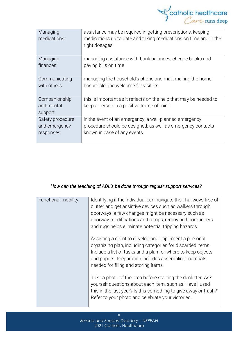

| Managing<br>medications:                | assistance may be required in getting prescriptions, keeping<br>medications up to date and taking medications on time and in the<br>right dosages. |
|-----------------------------------------|----------------------------------------------------------------------------------------------------------------------------------------------------|
| Managing                                | managing assistance with bank balances, cheque books and                                                                                           |
| finances:                               | paying bills on time                                                                                                                               |
| Communicating                           | managing the household's phone and mail, making the home                                                                                           |
| with others:                            | hospitable and welcome for visitors.                                                                                                               |
| Companionship<br>and mental<br>support: | this is important as it reflects on the help that may be needed to<br>keep a person in a positive frame of mind.                                   |
| Safety procedure                        | in the event of an emergency, a well-planned emergency                                                                                             |
| and emergency                           | procedure should be designed; as well as emergency contacts                                                                                        |
| responses:                              | known in case of any events.                                                                                                                       |

#### *How can the teaching of ADL's be done through regular support services?*

| Functional mobility: | Identifying if the individual can navigate their hallways free of<br>clutter and get assistive devices such as walkers through<br>doorways; a few changes might be necessary such as<br>doorway modifications and ramps; removing floor runners<br>and rugs helps eliminate potential tripping hazards. |
|----------------------|---------------------------------------------------------------------------------------------------------------------------------------------------------------------------------------------------------------------------------------------------------------------------------------------------------|
|                      | Assisting a client to develop and implement a personal<br>organizing plan, including categories for discarded items.<br>Include a list of tasks and a plan for where to keep objects<br>and papers. Preparation includes assembling materials<br>needed for filing and storing items.                   |
|                      | Take a photo of the area before starting the declutter. Ask<br>yourself questions about each item, such as 'Have I used<br>this in the last year? Is this something to give away or trash?'<br>Refer to your photo and celebrate your victories.                                                        |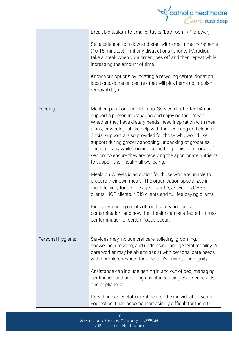|                   | catholic healthcare                                                                                                                                                                                                                                                                                                                                                                                                                                                                                                                                      |
|-------------------|----------------------------------------------------------------------------------------------------------------------------------------------------------------------------------------------------------------------------------------------------------------------------------------------------------------------------------------------------------------------------------------------------------------------------------------------------------------------------------------------------------------------------------------------------------|
|                   | Break big tasks into smaller tasks (bathroom-> 1 drawer)                                                                                                                                                                                                                                                                                                                                                                                                                                                                                                 |
|                   | Set a calendar to follow and start with small time increments<br>(10-15 minutes); limit any distractions (phone, TV, radio);<br>take a break when your timer goes off and then repeat while<br>increasing the amount of time                                                                                                                                                                                                                                                                                                                             |
|                   | Know your options by locating a recycling centre, donation<br>locations, donation centres that will pick items up, rubbish<br>removal days                                                                                                                                                                                                                                                                                                                                                                                                               |
| Feeding:          | Meal preparation and clean-up. Services that offer DA can<br>support a person in preparing and enjoying their meals.<br>Whether they have dietary needs, need inspiration with meal<br>plans, or would just like help with their cooking and clean-up.<br>Social support is also provided for those who would like<br>support during grocery shopping, unpacking of groceries,<br>and company while cooking something. This is important for<br>seniors to ensure they are receiving the appropriate nutrients<br>to support their health all wellbeing. |
|                   | Meals on Wheels is an option for those who are unable to<br>prepare their own meals. The organisation specializes in<br>meal delivery for people aged over 65, as well as CHSP<br>clients, HCP clients, NDIS clients and full fee-paying clients.                                                                                                                                                                                                                                                                                                        |
|                   | Kindly reminding clients of food safety and cross<br>contamination; and how their health can be affected if cross<br>contamination of certain foods occur.                                                                                                                                                                                                                                                                                                                                                                                               |
| Personal Hygiene: | Services may include oral care, toileting, grooming,<br>showering, dressing, and undressing, and general mobility. A<br>care worker may be able to assist with personal care needs<br>with complete respect for a person's privacy and dignity.                                                                                                                                                                                                                                                                                                          |
|                   | Assistance can include getting in and out of bed, managing<br>continence and providing assistance using continence aids<br>and appliances.                                                                                                                                                                                                                                                                                                                                                                                                               |
|                   | Providing easier clothing/shoes for the individual to wear if<br>you notice it has become increasingly difficult for them to                                                                                                                                                                                                                                                                                                                                                                                                                             |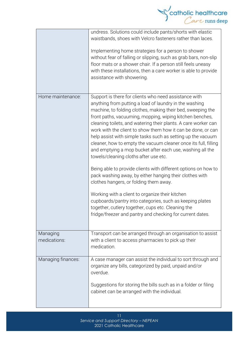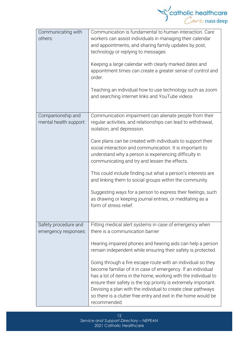

| Communicating with<br>others:               | Communication is fundamental to human interaction. Care<br>workers can assist individuals in managing their calendar<br>and appointments, and sharing family updates by post,<br>technology or replying to messages<br>Keeping a large calendar with clearly marked dates and<br>appointment times can create a greater sense of control and<br>order.<br>Teaching an individual how to use technology such as zoom<br>and searching internet links and YouTube videos |  |
|---------------------------------------------|------------------------------------------------------------------------------------------------------------------------------------------------------------------------------------------------------------------------------------------------------------------------------------------------------------------------------------------------------------------------------------------------------------------------------------------------------------------------|--|
|                                             |                                                                                                                                                                                                                                                                                                                                                                                                                                                                        |  |
| Companionship and<br>mental health support: | Communication impairment can alienate people from their<br>regular activities, and relationships can lead to withdrawal,<br>isolation, and depression.                                                                                                                                                                                                                                                                                                                 |  |
|                                             | Care plans can be created with individuals to support their<br>social interaction and communication. It is important to<br>understand why a person is experiencing difficulty in<br>communicating and try and lessen the effects.                                                                                                                                                                                                                                      |  |
|                                             | This could include finding out what a person's interests are<br>and linking them to social groups within the community.                                                                                                                                                                                                                                                                                                                                                |  |
|                                             | Suggesting ways for a person to express their feelings, such<br>as drawing or keeping journal entries, or meditating as a<br>form of stress relief.                                                                                                                                                                                                                                                                                                                    |  |
| Safety procedure and                        | Fitting medical alert systems in case of emergency when                                                                                                                                                                                                                                                                                                                                                                                                                |  |
| emergency responses:                        | there is a communication barrier                                                                                                                                                                                                                                                                                                                                                                                                                                       |  |
|                                             | Hearing impaired phones and hearing aids can help a person<br>remain independent while ensuring their safety is protected.                                                                                                                                                                                                                                                                                                                                             |  |
|                                             | Going through a fire escape route with an individual so they<br>become familiar of it in case of emergency. If an individual<br>has a lot of items in the home, working with the individual to<br>ensure their safety is the top priority is extremely important.<br>Devising a plan with the individual to create clear pathways<br>so there is a clutter free entry and exit in the home would be<br>recommended.                                                    |  |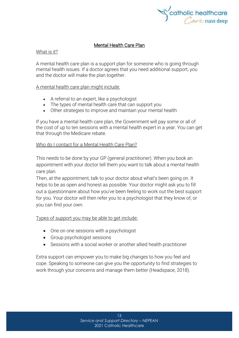

#### Mental Health Care Plan

#### What is it?

A mental health care plan is a support plan for someone who is going through mental health issues. If a doctor agrees that you need additional support, you and the doctor will make the plan together.

#### A mental health care plan might include:

- A referral to an expert, like a psychologist
- The types of mental health care that can support you
- Other strategies to improve and maintain your mental health

If you have a mental health care plan, the Government will pay some or all of the cost of up to ten sessions with a mental health expert in a year. You can get that through the [Medicare](https://headspace.org.au/blog/how-to-get-a-medicare-card-old/) rebate.

#### Who do I contact for a Mental Health Care Plan?

This needs to be done by your GP (general practitioner). When you book an appointment with your doctor tell them you want to talk about a mental health care plan.

Then, at the appointment, talk to your doctor about what's been going on. It helps to be as open and honest as possible. Your doctor might ask you to fill out a questionnaire about how you've been feeling to work out the best support for you. Your doctor will then refer you to a psychologist that they know of, or you can find your own.

#### Types of support you may be able to get include:

- One on one sessions with a psychologist
- Group psychologist sessions
- Sessions with a social worker or another allied health practitioner

Extra support can empower you to make big changes to how you feel and cope. Speaking to someone can give you the opportunity to find strategies to work through your concerns and manage them better (Headspace, 2018).